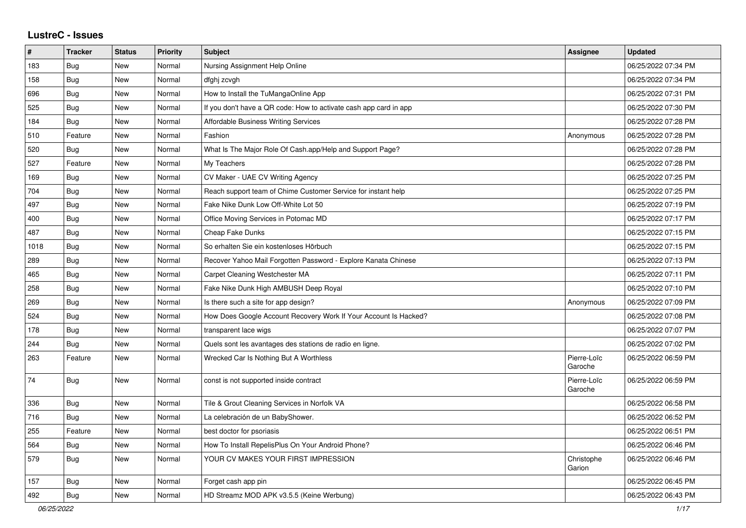## **LustreC - Issues**

| $\vert$ # | <b>Tracker</b> | <b>Status</b> | <b>Priority</b> | <b>Subject</b>                                                    | <b>Assignee</b>        | <b>Updated</b>      |
|-----------|----------------|---------------|-----------------|-------------------------------------------------------------------|------------------------|---------------------|
| 183       | <b>Bug</b>     | New           | Normal          | Nursing Assignment Help Online                                    |                        | 06/25/2022 07:34 PM |
| 158       | Bug            | <b>New</b>    | Normal          | dfghj zcvgh                                                       |                        | 06/25/2022 07:34 PM |
| 696       | <b>Bug</b>     | <b>New</b>    | Normal          | How to Install the TuMangaOnline App                              |                        | 06/25/2022 07:31 PM |
| 525       | <b>Bug</b>     | New           | Normal          | If you don't have a QR code: How to activate cash app card in app |                        | 06/25/2022 07:30 PM |
| 184       | <b>Bug</b>     | <b>New</b>    | Normal          | <b>Affordable Business Writing Services</b>                       |                        | 06/25/2022 07:28 PM |
| 510       | Feature        | <b>New</b>    | Normal          | Fashion                                                           | Anonymous              | 06/25/2022 07:28 PM |
| 520       | <b>Bug</b>     | New           | Normal          | What Is The Major Role Of Cash.app/Help and Support Page?         |                        | 06/25/2022 07:28 PM |
| 527       | Feature        | New           | Normal          | My Teachers                                                       |                        | 06/25/2022 07:28 PM |
| 169       | <b>Bug</b>     | <b>New</b>    | Normal          | CV Maker - UAE CV Writing Agency                                  |                        | 06/25/2022 07:25 PM |
| 704       | <b>Bug</b>     | <b>New</b>    | Normal          | Reach support team of Chime Customer Service for instant help     |                        | 06/25/2022 07:25 PM |
| 497       | Bug            | New           | Normal          | Fake Nike Dunk Low Off-White Lot 50                               |                        | 06/25/2022 07:19 PM |
| 400       | <b>Bug</b>     | <b>New</b>    | Normal          | Office Moving Services in Potomac MD                              |                        | 06/25/2022 07:17 PM |
| 487       | Bug            | <b>New</b>    | Normal          | Cheap Fake Dunks                                                  |                        | 06/25/2022 07:15 PM |
| 1018      | Bug            | <b>New</b>    | Normal          | So erhalten Sie ein kostenloses Hörbuch                           |                        | 06/25/2022 07:15 PM |
| 289       | <b>Bug</b>     | <b>New</b>    | Normal          | Recover Yahoo Mail Forgotten Password - Explore Kanata Chinese    |                        | 06/25/2022 07:13 PM |
| 465       | Bug            | New           | Normal          | Carpet Cleaning Westchester MA                                    |                        | 06/25/2022 07:11 PM |
| 258       | Bug            | <b>New</b>    | Normal          | Fake Nike Dunk High AMBUSH Deep Royal                             |                        | 06/25/2022 07:10 PM |
| 269       | <b>Bug</b>     | <b>New</b>    | Normal          | Is there such a site for app design?                              | Anonymous              | 06/25/2022 07:09 PM |
| 524       | <b>Bug</b>     | <b>New</b>    | Normal          | How Does Google Account Recovery Work If Your Account Is Hacked?  |                        | 06/25/2022 07:08 PM |
| 178       | Bug            | <b>New</b>    | Normal          | transparent lace wigs                                             |                        | 06/25/2022 07:07 PM |
| 244       | <b>Bug</b>     | <b>New</b>    | Normal          | Quels sont les avantages des stations de radio en ligne.          |                        | 06/25/2022 07:02 PM |
| 263       | Feature        | <b>New</b>    | Normal          | Wrecked Car Is Nothing But A Worthless                            | Pierre-Loïc<br>Garoche | 06/25/2022 06:59 PM |
| 74        | Bug            | <b>New</b>    | Normal          | const is not supported inside contract                            | Pierre-Loïc<br>Garoche | 06/25/2022 06:59 PM |
| 336       | <b>Bug</b>     | <b>New</b>    | Normal          | Tile & Grout Cleaning Services in Norfolk VA                      |                        | 06/25/2022 06:58 PM |
| 716       | <b>Bug</b>     | <b>New</b>    | Normal          | La celebración de un BabyShower.                                  |                        | 06/25/2022 06:52 PM |
| 255       | Feature        | <b>New</b>    | Normal          | best doctor for psoriasis                                         |                        | 06/25/2022 06:51 PM |
| 564       | <b>Bug</b>     | <b>New</b>    | Normal          | How To Install RepelisPlus On Your Android Phone?                 |                        | 06/25/2022 06:46 PM |
| 579       | Bug            | New           | Normal          | YOUR CV MAKES YOUR FIRST IMPRESSION                               | Christophe<br>Garion   | 06/25/2022 06:46 PM |
| 157       | <b>Bug</b>     | <b>New</b>    | Normal          | Forget cash app pin                                               |                        | 06/25/2022 06:45 PM |
| 492       | Bug            | <b>New</b>    | Normal          | HD Streamz MOD APK v3.5.5 (Keine Werbung)                         |                        | 06/25/2022 06:43 PM |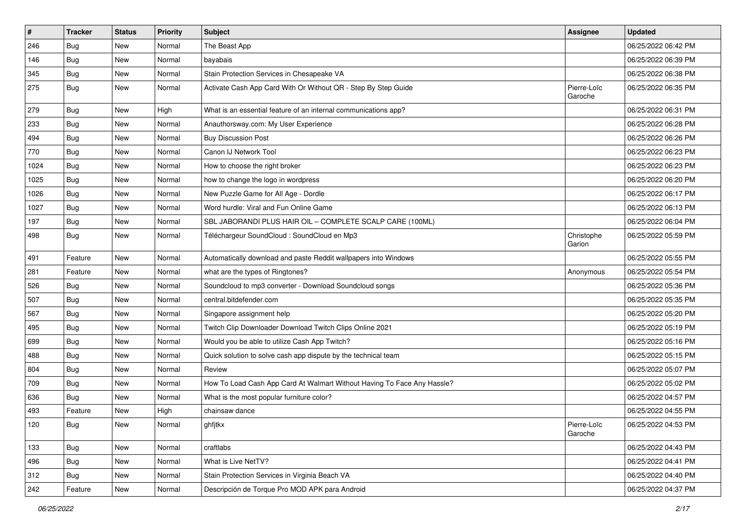| $\pmb{\#}$ | <b>Tracker</b> | <b>Status</b> | <b>Priority</b> | Subject                                                                 | <b>Assignee</b>        | <b>Updated</b>      |
|------------|----------------|---------------|-----------------|-------------------------------------------------------------------------|------------------------|---------------------|
| 246        | <b>Bug</b>     | New           | Normal          | The Beast App                                                           |                        | 06/25/2022 06:42 PM |
| 146        | <b>Bug</b>     | New           | Normal          | bayabais                                                                |                        | 06/25/2022 06:39 PM |
| 345        | Bug            | New           | Normal          | Stain Protection Services in Chesapeake VA                              |                        | 06/25/2022 06:38 PM |
| 275        | <b>Bug</b>     | New           | Normal          | Activate Cash App Card With Or Without QR - Step By Step Guide          | Pierre-Loïc<br>Garoche | 06/25/2022 06:35 PM |
| 279        | Bug            | New           | High            | What is an essential feature of an internal communications app?         |                        | 06/25/2022 06:31 PM |
| 233        | <b>Bug</b>     | New           | Normal          | Anauthorsway.com: My User Experience                                    |                        | 06/25/2022 06:28 PM |
| 494        | Bug            | New           | Normal          | <b>Buy Discussion Post</b>                                              |                        | 06/25/2022 06:26 PM |
| 770        | Bug            | New           | Normal          | Canon IJ Network Tool                                                   |                        | 06/25/2022 06:23 PM |
| 1024       | <b>Bug</b>     | <b>New</b>    | Normal          | How to choose the right broker                                          |                        | 06/25/2022 06:23 PM |
| 1025       | Bug            | New           | Normal          | how to change the logo in wordpress                                     |                        | 06/25/2022 06:20 PM |
| 1026       | Bug            | New           | Normal          | New Puzzle Game for All Age - Dordle                                    |                        | 06/25/2022 06:17 PM |
| 1027       | Bug            | New           | Normal          | Word hurdle: Viral and Fun Online Game                                  |                        | 06/25/2022 06:13 PM |
| 197        | Bug            | New           | Normal          | SBL JABORANDI PLUS HAIR OIL - COMPLETE SCALP CARE (100ML)               |                        | 06/25/2022 06:04 PM |
| 498        | <b>Bug</b>     | New           | Normal          | Téléchargeur SoundCloud : SoundCloud en Mp3                             | Christophe<br>Garion   | 06/25/2022 05:59 PM |
| 491        | Feature        | <b>New</b>    | Normal          | Automatically download and paste Reddit wallpapers into Windows         |                        | 06/25/2022 05:55 PM |
| 281        | Feature        | New           | Normal          | what are the types of Ringtones?                                        | Anonymous              | 06/25/2022 05:54 PM |
| 526        | <b>Bug</b>     | New           | Normal          | Soundcloud to mp3 converter - Download Soundcloud songs                 |                        | 06/25/2022 05:36 PM |
| 507        | Bug            | New           | Normal          | central.bitdefender.com                                                 |                        | 06/25/2022 05:35 PM |
| 567        | Bug            | New           | Normal          | Singapore assignment help                                               |                        | 06/25/2022 05:20 PM |
| 495        | <b>Bug</b>     | New           | Normal          | Twitch Clip Downloader Download Twitch Clips Online 2021                |                        | 06/25/2022 05:19 PM |
| 699        | <b>Bug</b>     | New           | Normal          | Would you be able to utilize Cash App Twitch?                           |                        | 06/25/2022 05:16 PM |
| 488        | Bug            | New           | Normal          | Quick solution to solve cash app dispute by the technical team          |                        | 06/25/2022 05:15 PM |
| 804        | Bug            | New           | Normal          | Review                                                                  |                        | 06/25/2022 05:07 PM |
| 709        | Bug            | New           | Normal          | How To Load Cash App Card At Walmart Without Having To Face Any Hassle? |                        | 06/25/2022 05:02 PM |
| 636        | Bug            | New           | Normal          | What is the most popular furniture color?                               |                        | 06/25/2022 04:57 PM |
| 493        | Feature        | New           | High            | chainsaw dance                                                          |                        | 06/25/2022 04:55 PM |
| 120        | <b>Bug</b>     | New           | Normal          | ghfjtkx                                                                 | Pierre-Loïc<br>Garoche | 06/25/2022 04:53 PM |
| 133        | <b>Bug</b>     | New           | Normal          | craftlabs                                                               |                        | 06/25/2022 04:43 PM |
| 496        | <b>Bug</b>     | New           | Normal          | What is Live NetTV?                                                     |                        | 06/25/2022 04:41 PM |
| 312        | Bug            | New           | Normal          | Stain Protection Services in Virginia Beach VA                          |                        | 06/25/2022 04:40 PM |
| 242        | Feature        | New           | Normal          | Descripción de Torque Pro MOD APK para Android                          |                        | 06/25/2022 04:37 PM |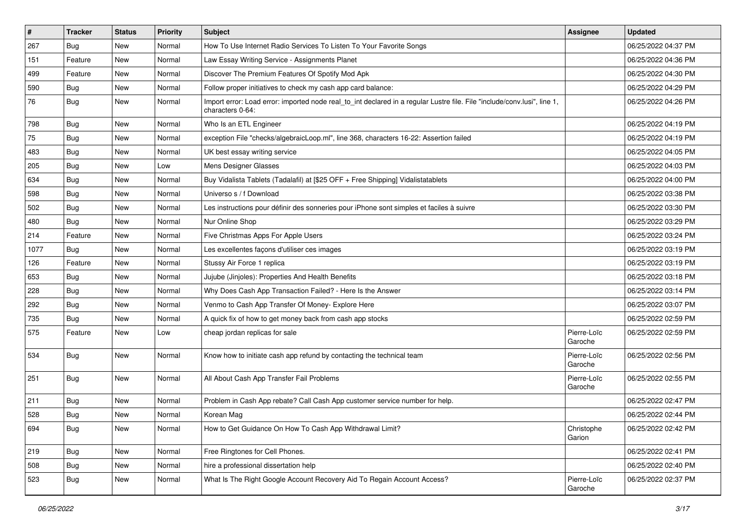| $\vert$ # | <b>Tracker</b> | <b>Status</b> | <b>Priority</b> | <b>Subject</b>                                                                                                                               | Assignee               | <b>Updated</b>      |
|-----------|----------------|---------------|-----------------|----------------------------------------------------------------------------------------------------------------------------------------------|------------------------|---------------------|
| 267       | <b>Bug</b>     | New           | Normal          | How To Use Internet Radio Services To Listen To Your Favorite Songs                                                                          |                        | 06/25/2022 04:37 PM |
| 151       | Feature        | New           | Normal          | Law Essay Writing Service - Assignments Planet                                                                                               |                        | 06/25/2022 04:36 PM |
| 499       | Feature        | New           | Normal          | Discover The Premium Features Of Spotify Mod Apk                                                                                             |                        | 06/25/2022 04:30 PM |
| 590       | <b>Bug</b>     | New           | Normal          | Follow proper initiatives to check my cash app card balance:                                                                                 |                        | 06/25/2022 04:29 PM |
| 76        | <b>Bug</b>     | New           | Normal          | Import error: Load error: imported node real_to_int declared in a regular Lustre file. File "include/conv.lusi", line 1,<br>characters 0-64: |                        | 06/25/2022 04:26 PM |
| 798       | <b>Bug</b>     | New           | Normal          | Who Is an ETL Engineer                                                                                                                       |                        | 06/25/2022 04:19 PM |
| 75        | Bug            | New           | Normal          | exception File "checks/algebraicLoop.ml", line 368, characters 16-22: Assertion failed                                                       |                        | 06/25/2022 04:19 PM |
| 483       | Bug            | New           | Normal          | UK best essay writing service                                                                                                                |                        | 06/25/2022 04:05 PM |
| 205       | Bug            | New           | Low             | Mens Designer Glasses                                                                                                                        |                        | 06/25/2022 04:03 PM |
| 634       | Bug            | New           | Normal          | Buy Vidalista Tablets (Tadalafil) at [\$25 OFF + Free Shipping] Vidalistatablets                                                             |                        | 06/25/2022 04:00 PM |
| 598       | <b>Bug</b>     | New           | Normal          | Universo s / f Download                                                                                                                      |                        | 06/25/2022 03:38 PM |
| 502       | Bug            | New           | Normal          | Les instructions pour définir des sonneries pour iPhone sont simples et faciles à suivre                                                     |                        | 06/25/2022 03:30 PM |
| 480       | Bug            | New           | Normal          | Nur Online Shop                                                                                                                              |                        | 06/25/2022 03:29 PM |
| 214       | Feature        | New           | Normal          | Five Christmas Apps For Apple Users                                                                                                          |                        | 06/25/2022 03:24 PM |
| 1077      | Bug            | New           | Normal          | Les excellentes façons d'utiliser ces images                                                                                                 |                        | 06/25/2022 03:19 PM |
| 126       | Feature        | <b>New</b>    | Normal          | Stussy Air Force 1 replica                                                                                                                   |                        | 06/25/2022 03:19 PM |
| 653       | Bug            | New           | Normal          | Jujube (Jinjoles): Properties And Health Benefits                                                                                            |                        | 06/25/2022 03:18 PM |
| 228       | <b>Bug</b>     | New           | Normal          | Why Does Cash App Transaction Failed? - Here Is the Answer                                                                                   |                        | 06/25/2022 03:14 PM |
| 292       | Bug            | New           | Normal          | Venmo to Cash App Transfer Of Money- Explore Here                                                                                            |                        | 06/25/2022 03:07 PM |
| 735       | Bug            | New           | Normal          | A quick fix of how to get money back from cash app stocks                                                                                    |                        | 06/25/2022 02:59 PM |
| 575       | Feature        | New           | Low             | cheap jordan replicas for sale                                                                                                               | Pierre-Loïc<br>Garoche | 06/25/2022 02:59 PM |
| 534       | Bug            | New           | Normal          | Know how to initiate cash app refund by contacting the technical team                                                                        | Pierre-Loïc<br>Garoche | 06/25/2022 02:56 PM |
| 251       | Bug            | New           | Normal          | All About Cash App Transfer Fail Problems                                                                                                    | Pierre-Loïc<br>Garoche | 06/25/2022 02:55 PM |
| 211       | Bug            | New           | Normal          | Problem in Cash App rebate? Call Cash App customer service number for help.                                                                  |                        | 06/25/2022 02:47 PM |
| 528       | <b>Bug</b>     | New           | Normal          | Korean Mag                                                                                                                                   |                        | 06/25/2022 02:44 PM |
| 694       | Bug            | New           | Normal          | How to Get Guidance On How To Cash App Withdrawal Limit?                                                                                     | Christophe<br>Garion   | 06/25/2022 02:42 PM |
| 219       | Bug            | New           | Normal          | Free Ringtones for Cell Phones.                                                                                                              |                        | 06/25/2022 02:41 PM |
| 508       | Bug            | New           | Normal          | hire a professional dissertation help                                                                                                        |                        | 06/25/2022 02:40 PM |
| 523       | <b>Bug</b>     | New           | Normal          | What Is The Right Google Account Recovery Aid To Regain Account Access?                                                                      | Pierre-Loïc<br>Garoche | 06/25/2022 02:37 PM |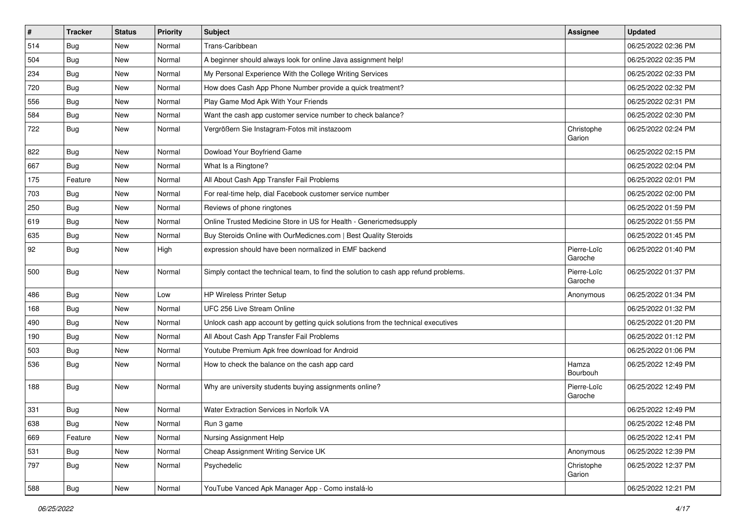| $\vert$ # | <b>Tracker</b> | <b>Status</b> | <b>Priority</b> | Subject                                                                              | Assignee               | <b>Updated</b>      |
|-----------|----------------|---------------|-----------------|--------------------------------------------------------------------------------------|------------------------|---------------------|
| 514       | <b>Bug</b>     | New           | Normal          | Trans-Caribbean                                                                      |                        | 06/25/2022 02:36 PM |
| 504       | Bug            | <b>New</b>    | Normal          | A beginner should always look for online Java assignment help!                       |                        | 06/25/2022 02:35 PM |
| 234       | Bug            | New           | Normal          | My Personal Experience With the College Writing Services                             |                        | 06/25/2022 02:33 PM |
| 720       | <b>Bug</b>     | New           | Normal          | How does Cash App Phone Number provide a quick treatment?                            |                        | 06/25/2022 02:32 PM |
| 556       | <b>Bug</b>     | New           | Normal          | Play Game Mod Apk With Your Friends                                                  |                        | 06/25/2022 02:31 PM |
| 584       | <b>Bug</b>     | New           | Normal          | Want the cash app customer service number to check balance?                          |                        | 06/25/2022 02:30 PM |
| 722       | <b>Bug</b>     | New           | Normal          | Vergrößern Sie Instagram-Fotos mit instazoom                                         | Christophe<br>Garion   | 06/25/2022 02:24 PM |
| 822       | Bug            | New           | Normal          | Dowload Your Boyfriend Game                                                          |                        | 06/25/2022 02:15 PM |
| 667       | <b>Bug</b>     | <b>New</b>    | Normal          | What Is a Ringtone?                                                                  |                        | 06/25/2022 02:04 PM |
| 175       | Feature        | New           | Normal          | All About Cash App Transfer Fail Problems                                            |                        | 06/25/2022 02:01 PM |
| 703       | <b>Bug</b>     | New           | Normal          | For real-time help, dial Facebook customer service number                            |                        | 06/25/2022 02:00 PM |
| 250       | Bug            | New           | Normal          | Reviews of phone ringtones                                                           |                        | 06/25/2022 01:59 PM |
| 619       | <b>Bug</b>     | New           | Normal          | Online Trusted Medicine Store in US for Health - Genericmedsupply                    |                        | 06/25/2022 01:55 PM |
| 635       | Bug            | New           | Normal          | Buy Steroids Online with OurMedicnes.com   Best Quality Steroids                     |                        | 06/25/2022 01:45 PM |
| 92        | <b>Bug</b>     | New           | High            | expression should have been normalized in EMF backend                                | Pierre-Loïc<br>Garoche | 06/25/2022 01:40 PM |
| 500       | Bug            | New           | Normal          | Simply contact the technical team, to find the solution to cash app refund problems. | Pierre-Loïc<br>Garoche | 06/25/2022 01:37 PM |
| 486       | Bug            | <b>New</b>    | Low             | <b>HP Wireless Printer Setup</b>                                                     | Anonymous              | 06/25/2022 01:34 PM |
| 168       | Bug            | New           | Normal          | UFC 256 Live Stream Online                                                           |                        | 06/25/2022 01:32 PM |
| 490       | <b>Bug</b>     | New           | Normal          | Unlock cash app account by getting quick solutions from the technical executives     |                        | 06/25/2022 01:20 PM |
| 190       | Bug            | New           | Normal          | All About Cash App Transfer Fail Problems                                            |                        | 06/25/2022 01:12 PM |
| 503       | Bug            | New           | Normal          | Youtube Premium Apk free download for Android                                        |                        | 06/25/2022 01:06 PM |
| 536       | <b>Bug</b>     | New           | Normal          | How to check the balance on the cash app card                                        | Hamza<br>Bourbouh      | 06/25/2022 12:49 PM |
| 188       | <b>Bug</b>     | New           | Normal          | Why are university students buying assignments online?                               | Pierre-Loïc<br>Garoche | 06/25/2022 12:49 PM |
| 331       | Bug            | New           | Normal          | Water Extraction Services in Norfolk VA                                              |                        | 06/25/2022 12:49 PM |
| 638       | Bug            | New           | Normal          | Run 3 game                                                                           |                        | 06/25/2022 12:48 PM |
| 669       | Feature        | New           | Normal          | Nursing Assignment Help                                                              |                        | 06/25/2022 12:41 PM |
| 531       | Bug            | New           | Normal          | Cheap Assignment Writing Service UK                                                  | Anonymous              | 06/25/2022 12:39 PM |
| 797       | Bug            | New           | Normal          | Psychedelic                                                                          | Christophe<br>Garion   | 06/25/2022 12:37 PM |
| 588       | <b>Bug</b>     | New           | Normal          | YouTube Vanced Apk Manager App - Como instalá-lo                                     |                        | 06/25/2022 12:21 PM |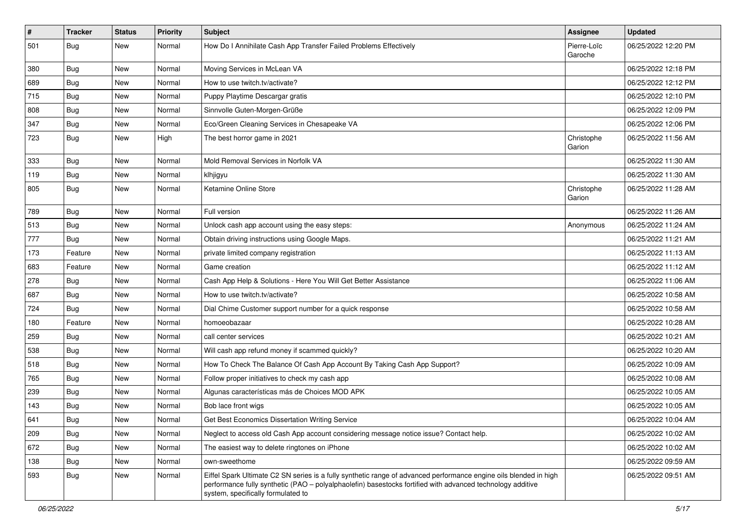| $\pmb{\#}$ | <b>Tracker</b> | <b>Status</b> | <b>Priority</b> | Subject                                                                                                                                                                                                                                                               | Assignee               | <b>Updated</b>      |
|------------|----------------|---------------|-----------------|-----------------------------------------------------------------------------------------------------------------------------------------------------------------------------------------------------------------------------------------------------------------------|------------------------|---------------------|
| 501        | <b>Bug</b>     | New           | Normal          | How Do I Annihilate Cash App Transfer Failed Problems Effectively                                                                                                                                                                                                     | Pierre-Loïc<br>Garoche | 06/25/2022 12:20 PM |
| 380        | Bug            | New           | Normal          | Moving Services in McLean VA                                                                                                                                                                                                                                          |                        | 06/25/2022 12:18 PM |
| 689        | Bug            | New           | Normal          | How to use twitch.tv/activate?                                                                                                                                                                                                                                        |                        | 06/25/2022 12:12 PM |
| 715        | Bug            | New           | Normal          | Puppy Playtime Descargar gratis                                                                                                                                                                                                                                       |                        | 06/25/2022 12:10 PM |
| 808        | <b>Bug</b>     | New           | Normal          | Sinnvolle Guten-Morgen-Grüße                                                                                                                                                                                                                                          |                        | 06/25/2022 12:09 PM |
| 347        | <b>Bug</b>     | New           | Normal          | Eco/Green Cleaning Services in Chesapeake VA                                                                                                                                                                                                                          |                        | 06/25/2022 12:06 PM |
| 723        | <b>Bug</b>     | New           | High            | The best horror game in 2021                                                                                                                                                                                                                                          | Christophe<br>Garion   | 06/25/2022 11:56 AM |
| 333        | <b>Bug</b>     | New           | Normal          | Mold Removal Services in Norfolk VA                                                                                                                                                                                                                                   |                        | 06/25/2022 11:30 AM |
| 119        | <b>Bug</b>     | New           | Normal          | klhjigyu                                                                                                                                                                                                                                                              |                        | 06/25/2022 11:30 AM |
| 805        | <b>Bug</b>     | New           | Normal          | Ketamine Online Store                                                                                                                                                                                                                                                 | Christophe<br>Garion   | 06/25/2022 11:28 AM |
| 789        | <b>Bug</b>     | New           | Normal          | Full version                                                                                                                                                                                                                                                          |                        | 06/25/2022 11:26 AM |
| 513        | Bug            | New           | Normal          | Unlock cash app account using the easy steps:                                                                                                                                                                                                                         | Anonymous              | 06/25/2022 11:24 AM |
| 777        | Bug            | New           | Normal          | Obtain driving instructions using Google Maps.                                                                                                                                                                                                                        |                        | 06/25/2022 11:21 AM |
| 173        | Feature        | New           | Normal          | private limited company registration                                                                                                                                                                                                                                  |                        | 06/25/2022 11:13 AM |
| 683        | Feature        | New           | Normal          | Game creation                                                                                                                                                                                                                                                         |                        | 06/25/2022 11:12 AM |
| 278        | Bug            | New           | Normal          | Cash App Help & Solutions - Here You Will Get Better Assistance                                                                                                                                                                                                       |                        | 06/25/2022 11:06 AM |
| 687        | Bug            | New           | Normal          | How to use twitch.tv/activate?                                                                                                                                                                                                                                        |                        | 06/25/2022 10:58 AM |
| 724        | Bug            | New           | Normal          | Dial Chime Customer support number for a quick response                                                                                                                                                                                                               |                        | 06/25/2022 10:58 AM |
| 180        | Feature        | New           | Normal          | homoeobazaar                                                                                                                                                                                                                                                          |                        | 06/25/2022 10:28 AM |
| 259        | Bug            | New           | Normal          | call center services                                                                                                                                                                                                                                                  |                        | 06/25/2022 10:21 AM |
| 538        | Bug            | New           | Normal          | Will cash app refund money if scammed quickly?                                                                                                                                                                                                                        |                        | 06/25/2022 10:20 AM |
| 518        | <b>Bug</b>     | New           | Normal          | How To Check The Balance Of Cash App Account By Taking Cash App Support?                                                                                                                                                                                              |                        | 06/25/2022 10:09 AM |
| 765        | Bug            | New           | Normal          | Follow proper initiatives to check my cash app                                                                                                                                                                                                                        |                        | 06/25/2022 10:08 AM |
| 239        | <b>Bug</b>     | New           | Normal          | Algunas características más de Choices MOD APK                                                                                                                                                                                                                        |                        | 06/25/2022 10:05 AM |
| 143        | <b>Bug</b>     | New           | Normal          | Bob lace front wigs                                                                                                                                                                                                                                                   |                        | 06/25/2022 10:05 AM |
| 641        | Bug            | New           | Normal          | Get Best Economics Dissertation Writing Service                                                                                                                                                                                                                       |                        | 06/25/2022 10:04 AM |
| 209        | <b>Bug</b>     | New           | Normal          | Neglect to access old Cash App account considering message notice issue? Contact help.                                                                                                                                                                                |                        | 06/25/2022 10:02 AM |
| 672        | <b>Bug</b>     | New           | Normal          | The easiest way to delete ringtones on iPhone                                                                                                                                                                                                                         |                        | 06/25/2022 10:02 AM |
| 138        | <b>Bug</b>     | New           | Normal          | own-sweethome                                                                                                                                                                                                                                                         |                        | 06/25/2022 09:59 AM |
| 593        | <b>Bug</b>     | New           | Normal          | Eiffel Spark Ultimate C2 SN series is a fully synthetic range of advanced performance engine oils blended in high<br>performance fully synthetic (PAO - polyalphaolefin) basestocks fortified with advanced technology additive<br>system, specifically formulated to |                        | 06/25/2022 09:51 AM |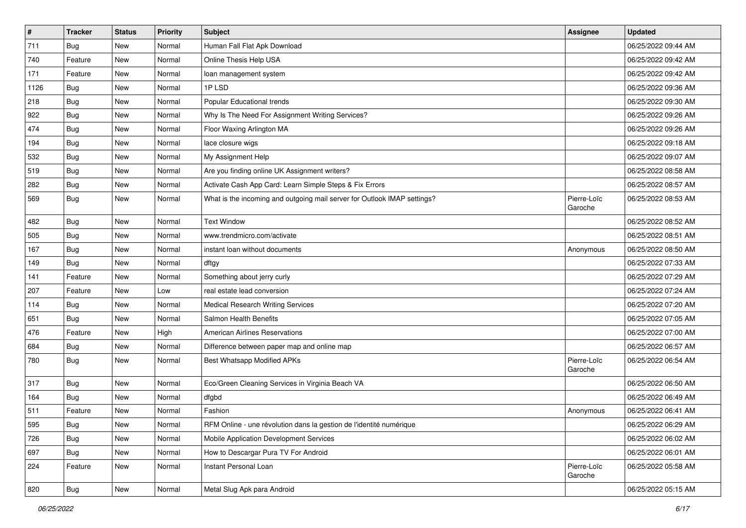| $\vert$ # | <b>Tracker</b> | <b>Status</b> | <b>Priority</b> | Subject                                                                  | <b>Assignee</b>        | <b>Updated</b>      |
|-----------|----------------|---------------|-----------------|--------------------------------------------------------------------------|------------------------|---------------------|
| 711       | <b>Bug</b>     | New           | Normal          | Human Fall Flat Apk Download                                             |                        | 06/25/2022 09:44 AM |
| 740       | Feature        | New           | Normal          | Online Thesis Help USA                                                   |                        | 06/25/2022 09:42 AM |
| 171       | Feature        | New           | Normal          | loan management system                                                   |                        | 06/25/2022 09:42 AM |
| 1126      | <b>Bug</b>     | New           | Normal          | 1PLSD                                                                    |                        | 06/25/2022 09:36 AM |
| 218       | Bug            | New           | Normal          | Popular Educational trends                                               |                        | 06/25/2022 09:30 AM |
| 922       | <b>Bug</b>     | New           | Normal          | Why Is The Need For Assignment Writing Services?                         |                        | 06/25/2022 09:26 AM |
| 474       | <b>Bug</b>     | New           | Normal          | Floor Waxing Arlington MA                                                |                        | 06/25/2022 09:26 AM |
| 194       | <b>Bug</b>     | New           | Normal          | lace closure wigs                                                        |                        | 06/25/2022 09:18 AM |
| 532       | <b>Bug</b>     | New           | Normal          | My Assignment Help                                                       |                        | 06/25/2022 09:07 AM |
| 519       | <b>Bug</b>     | New           | Normal          | Are you finding online UK Assignment writers?                            |                        | 06/25/2022 08:58 AM |
| 282       | <b>Bug</b>     | New           | Normal          | Activate Cash App Card: Learn Simple Steps & Fix Errors                  |                        | 06/25/2022 08:57 AM |
| 569       | <b>Bug</b>     | New           | Normal          | What is the incoming and outgoing mail server for Outlook IMAP settings? | Pierre-Loïc<br>Garoche | 06/25/2022 08:53 AM |
| 482       | <b>Bug</b>     | New           | Normal          | <b>Text Window</b>                                                       |                        | 06/25/2022 08:52 AM |
| 505       | <b>Bug</b>     | New           | Normal          | www.trendmicro.com/activate                                              |                        | 06/25/2022 08:51 AM |
| 167       | Bug            | New           | Normal          | instant loan without documents                                           | Anonymous              | 06/25/2022 08:50 AM |
| 149       | <b>Bug</b>     | New           | Normal          | dftgy                                                                    |                        | 06/25/2022 07:33 AM |
| 141       | Feature        | New           | Normal          | Something about jerry curly                                              |                        | 06/25/2022 07:29 AM |
| 207       | Feature        | New           | Low             | real estate lead conversion                                              |                        | 06/25/2022 07:24 AM |
| 114       | Bug            | New           | Normal          | <b>Medical Research Writing Services</b>                                 |                        | 06/25/2022 07:20 AM |
| 651       | Bug            | New           | Normal          | Salmon Health Benefits                                                   |                        | 06/25/2022 07:05 AM |
| 476       | Feature        | New           | High            | <b>American Airlines Reservations</b>                                    |                        | 06/25/2022 07:00 AM |
| 684       | Bug            | New           | Normal          | Difference between paper map and online map                              |                        | 06/25/2022 06:57 AM |
| 780       | Bug            | New           | Normal          | <b>Best Whatsapp Modified APKs</b>                                       | Pierre-Loïc<br>Garoche | 06/25/2022 06:54 AM |
| 317       | Bug            | New           | Normal          | Eco/Green Cleaning Services in Virginia Beach VA                         |                        | 06/25/2022 06:50 AM |
| 164       | <b>Bug</b>     | New           | Normal          | dfgbd                                                                    |                        | 06/25/2022 06:49 AM |
| 511       | Feature        | New           | Normal          | Fashion                                                                  | Anonymous              | 06/25/2022 06:41 AM |
| 595       | Bug            | New           | Normal          | RFM Online - une révolution dans la gestion de l'identité numérique      |                        | 06/25/2022 06:29 AM |
| 726       | Bug            | New           | Normal          | Mobile Application Development Services                                  |                        | 06/25/2022 06:02 AM |
| 697       | <b>Bug</b>     | New           | Normal          | How to Descargar Pura TV For Android                                     |                        | 06/25/2022 06:01 AM |
| 224       | Feature        | New           | Normal          | Instant Personal Loan                                                    | Pierre-Loïc<br>Garoche | 06/25/2022 05:58 AM |
| 820       | Bug            | New           | Normal          | Metal Slug Apk para Android                                              |                        | 06/25/2022 05:15 AM |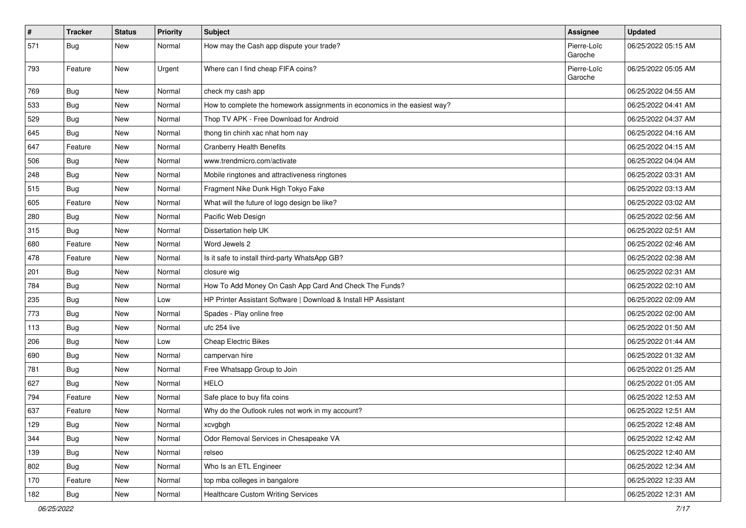| $\pmb{\#}$ | <b>Tracker</b> | <b>Status</b> | <b>Priority</b> | Subject                                                                   | <b>Assignee</b>        | <b>Updated</b>      |
|------------|----------------|---------------|-----------------|---------------------------------------------------------------------------|------------------------|---------------------|
| 571        | <b>Bug</b>     | New           | Normal          | How may the Cash app dispute your trade?                                  | Pierre-Loïc<br>Garoche | 06/25/2022 05:15 AM |
| 793        | Feature        | <b>New</b>    | Urgent          | Where can I find cheap FIFA coins?                                        | Pierre-Loïc<br>Garoche | 06/25/2022 05:05 AM |
| 769        | Bug            | New           | Normal          | check my cash app                                                         |                        | 06/25/2022 04:55 AM |
| 533        | Bug            | <b>New</b>    | Normal          | How to complete the homework assignments in economics in the easiest way? |                        | 06/25/2022 04:41 AM |
| 529        | Bug            | <b>New</b>    | Normal          | Thop TV APK - Free Download for Android                                   |                        | 06/25/2022 04:37 AM |
| 645        | <b>Bug</b>     | <b>New</b>    | Normal          | thong tin chinh xac nhat hom nay                                          |                        | 06/25/2022 04:16 AM |
| 647        | Feature        | <b>New</b>    | Normal          | <b>Cranberry Health Benefits</b>                                          |                        | 06/25/2022 04:15 AM |
| 506        | Bug            | <b>New</b>    | Normal          | www.trendmicro.com/activate                                               |                        | 06/25/2022 04:04 AM |
| 248        | <b>Bug</b>     | New           | Normal          | Mobile ringtones and attractiveness ringtones                             |                        | 06/25/2022 03:31 AM |
| 515        | Bug            | <b>New</b>    | Normal          | Fragment Nike Dunk High Tokyo Fake                                        |                        | 06/25/2022 03:13 AM |
| 605        | Feature        | <b>New</b>    | Normal          | What will the future of logo design be like?                              |                        | 06/25/2022 03:02 AM |
| 280        | <b>Bug</b>     | <b>New</b>    | Normal          | Pacific Web Design                                                        |                        | 06/25/2022 02:56 AM |
| 315        | <b>Bug</b>     | New           | Normal          | Dissertation help UK                                                      |                        | 06/25/2022 02:51 AM |
| 680        | Feature        | <b>New</b>    | Normal          | Word Jewels 2                                                             |                        | 06/25/2022 02:46 AM |
| 478        | Feature        | New           | Normal          | Is it safe to install third-party WhatsApp GB?                            |                        | 06/25/2022 02:38 AM |
| 201        | Bug            | <b>New</b>    | Normal          | closure wig                                                               |                        | 06/25/2022 02:31 AM |
| 784        | Bug            | New           | Normal          | How To Add Money On Cash App Card And Check The Funds?                    |                        | 06/25/2022 02:10 AM |
| 235        | Bug            | <b>New</b>    | Low             | HP Printer Assistant Software   Download & Install HP Assistant           |                        | 06/25/2022 02:09 AM |
| 773        | <b>Bug</b>     | New           | Normal          | Spades - Play online free                                                 |                        | 06/25/2022 02:00 AM |
| 113        | <b>Bug</b>     | New           | Normal          | ufc 254 live                                                              |                        | 06/25/2022 01:50 AM |
| 206        | Bug            | <b>New</b>    | Low             | Cheap Electric Bikes                                                      |                        | 06/25/2022 01:44 AM |
| 690        | <b>Bug</b>     | <b>New</b>    | Normal          | campervan hire                                                            |                        | 06/25/2022 01:32 AM |
| 781        | Bug            | <b>New</b>    | Normal          | Free Whatsapp Group to Join                                               |                        | 06/25/2022 01:25 AM |
| 627        | <b>Bug</b>     | <b>New</b>    | Normal          | <b>HELO</b>                                                               |                        | 06/25/2022 01:05 AM |
| 794        | Feature        | <b>New</b>    | Normal          | Safe place to buy fifa coins                                              |                        | 06/25/2022 12:53 AM |
| 637        | Feature        | New           | Normal          | Why do the Outlook rules not work in my account?                          |                        | 06/25/2022 12:51 AM |
| 129        | <b>Bug</b>     | New           | Normal          | xcvgbgh                                                                   |                        | 06/25/2022 12:48 AM |
| 344        | Bug            | New           | Normal          | Odor Removal Services in Chesapeake VA                                    |                        | 06/25/2022 12:42 AM |
| 139        | Bug            | New           | Normal          | relseo                                                                    |                        | 06/25/2022 12:40 AM |
| 802        | Bug            | New           | Normal          | Who Is an ETL Engineer                                                    |                        | 06/25/2022 12:34 AM |
| 170        | Feature        | New           | Normal          | top mba colleges in bangalore                                             |                        | 06/25/2022 12:33 AM |
| 182        | <b>Bug</b>     | New           | Normal          | <b>Healthcare Custom Writing Services</b>                                 |                        | 06/25/2022 12:31 AM |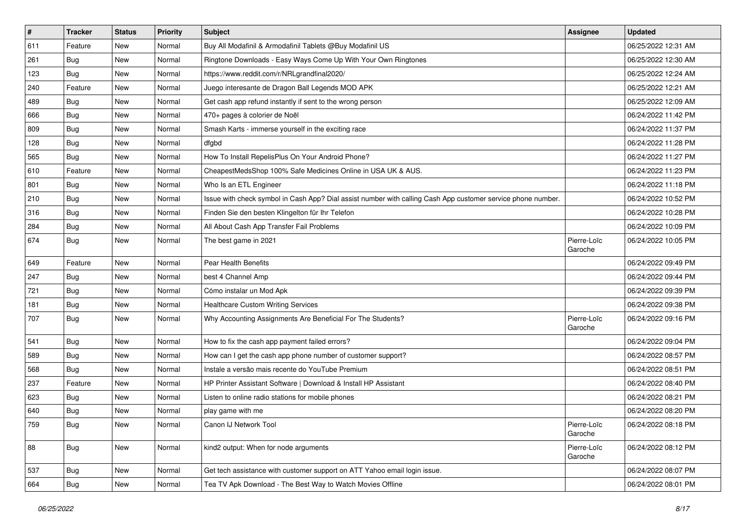| $\vert$ # | <b>Tracker</b> | <b>Status</b> | <b>Priority</b> | Subject                                                                                                      | <b>Assignee</b>        | <b>Updated</b>      |
|-----------|----------------|---------------|-----------------|--------------------------------------------------------------------------------------------------------------|------------------------|---------------------|
| 611       | Feature        | New           | Normal          | Buy All Modafinil & Armodafinil Tablets @Buy Modafinil US                                                    |                        | 06/25/2022 12:31 AM |
| 261       | Bug            | New           | Normal          | Ringtone Downloads - Easy Ways Come Up With Your Own Ringtones                                               |                        | 06/25/2022 12:30 AM |
| 123       | Bug            | New           | Normal          | https://www.reddit.com/r/NRLgrandfinal2020/                                                                  |                        | 06/25/2022 12:24 AM |
| 240       | Feature        | New           | Normal          | Juego interesante de Dragon Ball Legends MOD APK                                                             |                        | 06/25/2022 12:21 AM |
| 489       | <b>Bug</b>     | New           | Normal          | Get cash app refund instantly if sent to the wrong person                                                    |                        | 06/25/2022 12:09 AM |
| 666       | <b>Bug</b>     | New           | Normal          | 470+ pages à colorier de Noël                                                                                |                        | 06/24/2022 11:42 PM |
| 809       | Bug            | New           | Normal          | Smash Karts - immerse yourself in the exciting race                                                          |                        | 06/24/2022 11:37 PM |
| 128       | Bug            | New           | Normal          | dfgbd                                                                                                        |                        | 06/24/2022 11:28 PM |
| 565       | <b>Bug</b>     | New           | Normal          | How To Install RepelisPlus On Your Android Phone?                                                            |                        | 06/24/2022 11:27 PM |
| 610       | Feature        | New           | Normal          | CheapestMedsShop 100% Safe Medicines Online in USA UK & AUS.                                                 |                        | 06/24/2022 11:23 PM |
| 801       | Bug            | New           | Normal          | Who Is an ETL Engineer                                                                                       |                        | 06/24/2022 11:18 PM |
| 210       | <b>Bug</b>     | New           | Normal          | Issue with check symbol in Cash App? Dial assist number with calling Cash App customer service phone number. |                        | 06/24/2022 10:52 PM |
| 316       | Bug            | New           | Normal          | Finden Sie den besten Klingelton für Ihr Telefon                                                             |                        | 06/24/2022 10:28 PM |
| 284       | <b>Bug</b>     | New           | Normal          | All About Cash App Transfer Fail Problems                                                                    |                        | 06/24/2022 10:09 PM |
| 674       | Bug            | New           | Normal          | The best game in 2021                                                                                        | Pierre-Loïc<br>Garoche | 06/24/2022 10:05 PM |
| 649       | Feature        | <b>New</b>    | Normal          | Pear Health Benefits                                                                                         |                        | 06/24/2022 09:49 PM |
| 247       | <b>Bug</b>     | New           | Normal          | best 4 Channel Amp                                                                                           |                        | 06/24/2022 09:44 PM |
| 721       | <b>Bug</b>     | New           | Normal          | Cómo instalar un Mod Apk                                                                                     |                        | 06/24/2022 09:39 PM |
| 181       | Bug            | New           | Normal          | <b>Healthcare Custom Writing Services</b>                                                                    |                        | 06/24/2022 09:38 PM |
| 707       | <b>Bug</b>     | New           | Normal          | Why Accounting Assignments Are Beneficial For The Students?                                                  | Pierre-Loïc<br>Garoche | 06/24/2022 09:16 PM |
| 541       | Bug            | <b>New</b>    | Normal          | How to fix the cash app payment failed errors?                                                               |                        | 06/24/2022 09:04 PM |
| 589       | Bug            | New           | Normal          | How can I get the cash app phone number of customer support?                                                 |                        | 06/24/2022 08:57 PM |
| 568       | <b>Bug</b>     | <b>New</b>    | Normal          | Instale a versão mais recente do YouTube Premium                                                             |                        | 06/24/2022 08:51 PM |
| 237       | Feature        | New           | Normal          | HP Printer Assistant Software   Download & Install HP Assistant                                              |                        | 06/24/2022 08:40 PM |
| 623       | <b>Bug</b>     | New           | Normal          | Listen to online radio stations for mobile phones                                                            |                        | 06/24/2022 08:21 PM |
| 640       | <b>Bug</b>     | New           | Normal          | play game with me                                                                                            |                        | 06/24/2022 08:20 PM |
| 759       | Bug            | New           | Normal          | Canon IJ Network Tool                                                                                        | Pierre-Loïc<br>Garoche | 06/24/2022 08:18 PM |
| 88        | Bug            | New           | Normal          | kind2 output: When for node arguments                                                                        | Pierre-Loïc<br>Garoche | 06/24/2022 08:12 PM |
| 537       | <b>Bug</b>     | New           | Normal          | Get tech assistance with customer support on ATT Yahoo email login issue.                                    |                        | 06/24/2022 08:07 PM |
| 664       | <b>Bug</b>     | New           | Normal          | Tea TV Apk Download - The Best Way to Watch Movies Offline                                                   |                        | 06/24/2022 08:01 PM |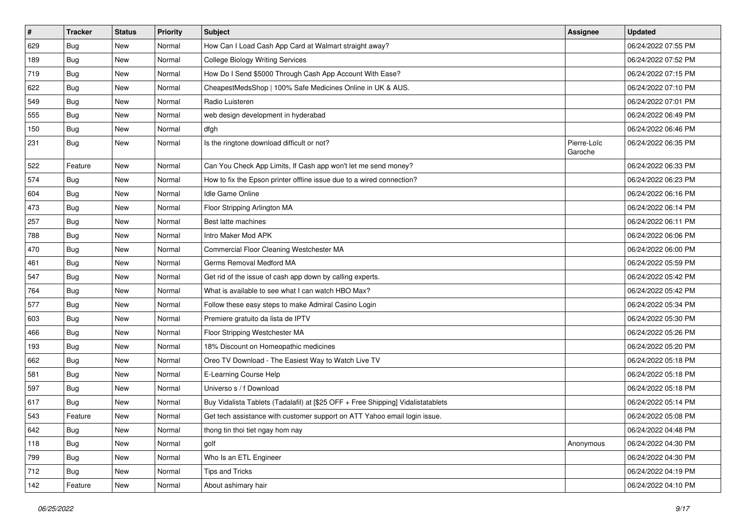| $\vert$ # | <b>Tracker</b> | <b>Status</b> | <b>Priority</b> | Subject                                                                          | <b>Assignee</b>        | <b>Updated</b>      |
|-----------|----------------|---------------|-----------------|----------------------------------------------------------------------------------|------------------------|---------------------|
| 629       | <b>Bug</b>     | New           | Normal          | How Can I Load Cash App Card at Walmart straight away?                           |                        | 06/24/2022 07:55 PM |
| 189       | Bug            | New           | Normal          | <b>College Biology Writing Services</b>                                          |                        | 06/24/2022 07:52 PM |
| 719       | Bug            | New           | Normal          | How Do I Send \$5000 Through Cash App Account With Ease?                         |                        | 06/24/2022 07:15 PM |
| 622       | Bug            | New           | Normal          | CheapestMedsShop   100% Safe Medicines Online in UK & AUS.                       |                        | 06/24/2022 07:10 PM |
| 549       | <b>Bug</b>     | New           | Normal          | Radio Luisteren                                                                  |                        | 06/24/2022 07:01 PM |
| 555       | <b>Bug</b>     | New           | Normal          | web design development in hyderabad                                              |                        | 06/24/2022 06:49 PM |
| 150       | <b>Bug</b>     | New           | Normal          | dfgh                                                                             |                        | 06/24/2022 06:46 PM |
| 231       | <b>Bug</b>     | New           | Normal          | Is the ringtone download difficult or not?                                       | Pierre-Loïc<br>Garoche | 06/24/2022 06:35 PM |
| 522       | Feature        | <b>New</b>    | Normal          | Can You Check App Limits, If Cash app won't let me send money?                   |                        | 06/24/2022 06:33 PM |
| 574       | Bug            | New           | Normal          | How to fix the Epson printer offline issue due to a wired connection?            |                        | 06/24/2022 06:23 PM |
| 604       | <b>Bug</b>     | New           | Normal          | Idle Game Online                                                                 |                        | 06/24/2022 06:16 PM |
| 473       | <b>Bug</b>     | New           | Normal          | Floor Stripping Arlington MA                                                     |                        | 06/24/2022 06:14 PM |
| 257       | <b>Bug</b>     | New           | Normal          | Best latte machines                                                              |                        | 06/24/2022 06:11 PM |
| 788       | <b>Bug</b>     | New           | Normal          | Intro Maker Mod APK                                                              |                        | 06/24/2022 06:06 PM |
| 470       | Bug            | New           | Normal          | Commercial Floor Cleaning Westchester MA                                         |                        | 06/24/2022 06:00 PM |
| 461       | <b>Bug</b>     | New           | Normal          | Germs Removal Medford MA                                                         |                        | 06/24/2022 05:59 PM |
| 547       | Bug            | New           | Normal          | Get rid of the issue of cash app down by calling experts.                        |                        | 06/24/2022 05:42 PM |
| 764       | Bug            | New           | Normal          | What is available to see what I can watch HBO Max?                               |                        | 06/24/2022 05:42 PM |
| 577       | Bug            | New           | Normal          | Follow these easy steps to make Admiral Casino Login                             |                        | 06/24/2022 05:34 PM |
| 603       | Bug            | New           | Normal          | Premiere gratuito da lista de IPTV                                               |                        | 06/24/2022 05:30 PM |
| 466       | Bug            | New           | Normal          | Floor Stripping Westchester MA                                                   |                        | 06/24/2022 05:26 PM |
| 193       | <b>Bug</b>     | New           | Normal          | 18% Discount on Homeopathic medicines                                            |                        | 06/24/2022 05:20 PM |
| 662       | <b>Bug</b>     | New           | Normal          | Oreo TV Download - The Easiest Way to Watch Live TV                              |                        | 06/24/2022 05:18 PM |
| 581       | <b>Bug</b>     | New           | Normal          | E-Learning Course Help                                                           |                        | 06/24/2022 05:18 PM |
| 597       | Bug            | New           | Normal          | Universo s / f Download                                                          |                        | 06/24/2022 05:18 PM |
| 617       | <b>Bug</b>     | New           | Normal          | Buy Vidalista Tablets (Tadalafil) at [\$25 OFF + Free Shipping] Vidalistatablets |                        | 06/24/2022 05:14 PM |
| 543       | Feature        | New           | Normal          | Get tech assistance with customer support on ATT Yahoo email login issue.        |                        | 06/24/2022 05:08 PM |
| 642       | <b>Bug</b>     | New           | Normal          | thong tin thoi tiet ngay hom nay                                                 |                        | 06/24/2022 04:48 PM |
| 118       | <b>Bug</b>     | New           | Normal          | golf                                                                             | Anonymous              | 06/24/2022 04:30 PM |
| 799       | <b>Bug</b>     | New           | Normal          | Who Is an ETL Engineer                                                           |                        | 06/24/2022 04:30 PM |
| 712       | <b>Bug</b>     | New           | Normal          | Tips and Tricks                                                                  |                        | 06/24/2022 04:19 PM |
| 142       | Feature        | New           | Normal          | About ashimary hair                                                              |                        | 06/24/2022 04:10 PM |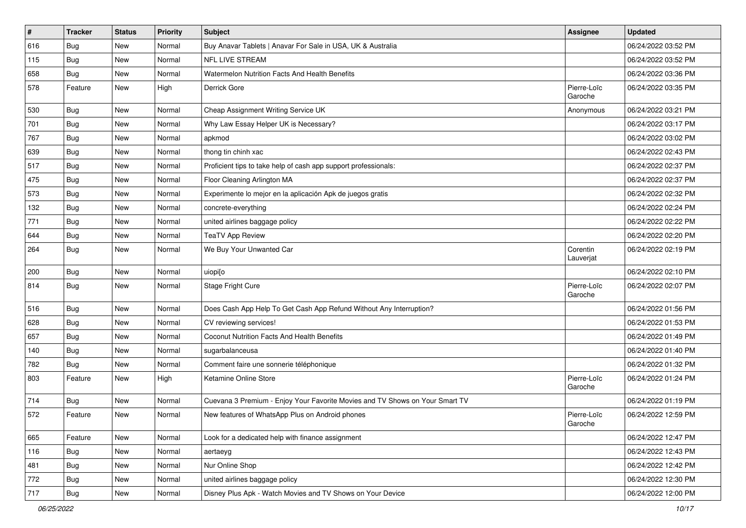| $\pmb{\#}$ | <b>Tracker</b> | <b>Status</b> | <b>Priority</b> | Subject                                                                      | Assignee               | <b>Updated</b>      |
|------------|----------------|---------------|-----------------|------------------------------------------------------------------------------|------------------------|---------------------|
| 616        | <b>Bug</b>     | New           | Normal          | Buy Anavar Tablets   Anavar For Sale in USA, UK & Australia                  |                        | 06/24/2022 03:52 PM |
| 115        | <b>Bug</b>     | <b>New</b>    | Normal          | <b>NFL LIVE STREAM</b>                                                       |                        | 06/24/2022 03:52 PM |
| 658        | Bug            | New           | Normal          | Watermelon Nutrition Facts And Health Benefits                               |                        | 06/24/2022 03:36 PM |
| 578        | Feature        | New           | High            | Derrick Gore                                                                 | Pierre-Loïc<br>Garoche | 06/24/2022 03:35 PM |
| 530        | <b>Bug</b>     | <b>New</b>    | Normal          | Cheap Assignment Writing Service UK                                          | Anonymous              | 06/24/2022 03:21 PM |
| 701        | <b>Bug</b>     | New           | Normal          | Why Law Essay Helper UK is Necessary?                                        |                        | 06/24/2022 03:17 PM |
| 767        | Bug            | New           | Normal          | apkmod                                                                       |                        | 06/24/2022 03:02 PM |
| 639        | Bug            | New           | Normal          | thong tin chinh xac                                                          |                        | 06/24/2022 02:43 PM |
| 517        | Bug            | New           | Normal          | Proficient tips to take help of cash app support professionals:              |                        | 06/24/2022 02:37 PM |
| 475        | Bug            | New           | Normal          | Floor Cleaning Arlington MA                                                  |                        | 06/24/2022 02:37 PM |
| 573        | Bug            | New           | Normal          | Experimente lo mejor en la aplicación Apk de juegos gratis                   |                        | 06/24/2022 02:32 PM |
| 132        | <b>Bug</b>     | New           | Normal          | concrete-everything                                                          |                        | 06/24/2022 02:24 PM |
| 771        | <b>Bug</b>     | New           | Normal          | united airlines baggage policy                                               |                        | 06/24/2022 02:22 PM |
| 644        | <b>Bug</b>     | New           | Normal          | <b>TeaTV App Review</b>                                                      |                        | 06/24/2022 02:20 PM |
| 264        | Bug            | New           | Normal          | We Buy Your Unwanted Car                                                     | Corentin<br>Lauverjat  | 06/24/2022 02:19 PM |
| 200        | Bug            | New           | Normal          | uiopi[o                                                                      |                        | 06/24/2022 02:10 PM |
| 814        | <b>Bug</b>     | New           | Normal          | Stage Fright Cure                                                            | Pierre-Loïc<br>Garoche | 06/24/2022 02:07 PM |
| 516        | Bug            | New           | Normal          | Does Cash App Help To Get Cash App Refund Without Any Interruption?          |                        | 06/24/2022 01:56 PM |
| 628        | Bug            | New           | Normal          | CV reviewing services!                                                       |                        | 06/24/2022 01:53 PM |
| 657        | Bug            | New           | Normal          | Coconut Nutrition Facts And Health Benefits                                  |                        | 06/24/2022 01:49 PM |
| 140        | Bug            | New           | Normal          | sugarbalanceusa                                                              |                        | 06/24/2022 01:40 PM |
| 782        | <b>Bug</b>     | New           | Normal          | Comment faire une sonnerie téléphonique                                      |                        | 06/24/2022 01:32 PM |
| 803        | Feature        | New           | High            | Ketamine Online Store                                                        | Pierre-Loïc<br>Garoche | 06/24/2022 01:24 PM |
| 714        | Bug            | New           | Normal          | Cuevana 3 Premium - Enjoy Your Favorite Movies and TV Shows on Your Smart TV |                        | 06/24/2022 01:19 PM |
| 572        | Feature        | New           | Normal          | New features of WhatsApp Plus on Android phones                              | Pierre-Loïc<br>Garoche | 06/24/2022 12:59 PM |
| 665        | Feature        | New           | Normal          | Look for a dedicated help with finance assignment                            |                        | 06/24/2022 12:47 PM |
| 116        | <b>Bug</b>     | New           | Normal          | aertaeyg                                                                     |                        | 06/24/2022 12:43 PM |
| 481        | <b>Bug</b>     | New           | Normal          | Nur Online Shop                                                              |                        | 06/24/2022 12:42 PM |
| 772        | <b>Bug</b>     | New           | Normal          | united airlines baggage policy                                               |                        | 06/24/2022 12:30 PM |
| 717        | <b>Bug</b>     | New           | Normal          | Disney Plus Apk - Watch Movies and TV Shows on Your Device                   |                        | 06/24/2022 12:00 PM |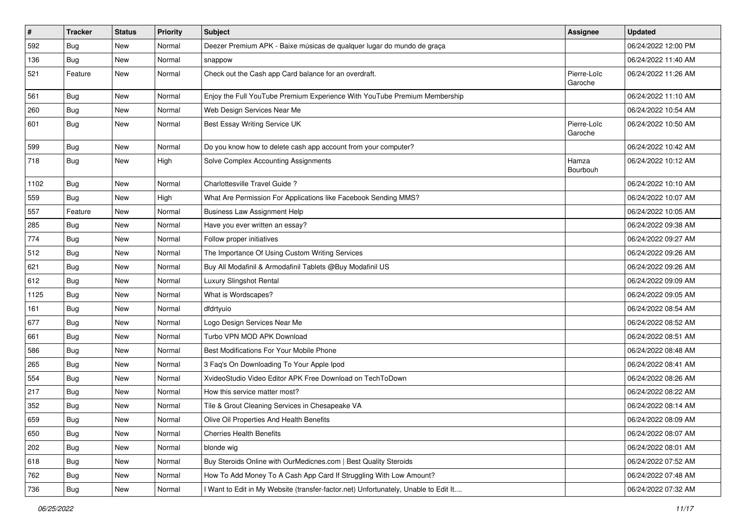| #    | <b>Tracker</b> | <b>Status</b> | <b>Priority</b> | Subject                                                                             | Assignee               | <b>Updated</b>      |
|------|----------------|---------------|-----------------|-------------------------------------------------------------------------------------|------------------------|---------------------|
| 592  | <b>Bug</b>     | New           | Normal          | Deezer Premium APK - Baixe músicas de qualquer lugar do mundo de graça              |                        | 06/24/2022 12:00 PM |
| 136  | Bug            | New           | Normal          | snappow                                                                             |                        | 06/24/2022 11:40 AM |
| 521  | Feature        | New           | Normal          | Check out the Cash app Card balance for an overdraft.                               | Pierre-Loïc<br>Garoche | 06/24/2022 11:26 AM |
| 561  | Bug            | New           | Normal          | Enjoy the Full YouTube Premium Experience With YouTube Premium Membership           |                        | 06/24/2022 11:10 AM |
| 260  | <b>Bug</b>     | New           | Normal          | Web Design Services Near Me                                                         |                        | 06/24/2022 10:54 AM |
| 601  | Bug            | New           | Normal          | Best Essay Writing Service UK                                                       | Pierre-Loïc<br>Garoche | 06/24/2022 10:50 AM |
| 599  | <b>Bug</b>     | New           | Normal          | Do you know how to delete cash app account from your computer?                      |                        | 06/24/2022 10:42 AM |
| 718  | <b>Bug</b>     | New           | High            | Solve Complex Accounting Assignments                                                | Hamza<br>Bourbouh      | 06/24/2022 10:12 AM |
| 1102 | <b>Bug</b>     | New           | Normal          | Charlottesville Travel Guide ?                                                      |                        | 06/24/2022 10:10 AM |
| 559  | <b>Bug</b>     | New           | High            | What Are Permission For Applications like Facebook Sending MMS?                     |                        | 06/24/2022 10:07 AM |
| 557  | Feature        | New           | Normal          | <b>Business Law Assignment Help</b>                                                 |                        | 06/24/2022 10:05 AM |
| 285  | Bug            | New           | Normal          | Have you ever written an essay?                                                     |                        | 06/24/2022 09:38 AM |
| 774  | <b>Bug</b>     | New           | Normal          | Follow proper initiatives                                                           |                        | 06/24/2022 09:27 AM |
| 512  | <b>Bug</b>     | New           | Normal          | The Importance Of Using Custom Writing Services                                     |                        | 06/24/2022 09:26 AM |
| 621  | <b>Bug</b>     | New           | Normal          | Buy All Modafinil & Armodafinil Tablets @Buy Modafinil US                           |                        | 06/24/2022 09:26 AM |
| 612  | Bug            | New           | Normal          | Luxury Slingshot Rental                                                             |                        | 06/24/2022 09:09 AM |
| 1125 | Bug            | New           | Normal          | What is Wordscapes?                                                                 |                        | 06/24/2022 09:05 AM |
| 161  | Bug            | New           | Normal          | dfdrtyuio                                                                           |                        | 06/24/2022 08:54 AM |
| 677  | <b>Bug</b>     | New           | Normal          | Logo Design Services Near Me                                                        |                        | 06/24/2022 08:52 AM |
| 661  | Bug            | New           | Normal          | Turbo VPN MOD APK Download                                                          |                        | 06/24/2022 08:51 AM |
| 586  | Bug            | New           | Normal          | Best Modifications For Your Mobile Phone                                            |                        | 06/24/2022 08:48 AM |
| 265  | <b>Bug</b>     | New           | Normal          | 3 Faq's On Downloading To Your Apple Ipod                                           |                        | 06/24/2022 08:41 AM |
| 554  | <b>Bug</b>     | New           | Normal          | XvideoStudio Video Editor APK Free Download on TechToDown                           |                        | 06/24/2022 08:26 AM |
| 217  | <b>Bug</b>     | New           | Normal          | How this service matter most?                                                       |                        | 06/24/2022 08:22 AM |
| 352  | <b>Bug</b>     | New           | Normal          | Tile & Grout Cleaning Services in Chesapeake VA                                     |                        | 06/24/2022 08:14 AM |
| 659  | Bug            | New           | Normal          | Olive Oil Properties And Health Benefits                                            |                        | 06/24/2022 08:09 AM |
| 650  | Bug            | New           | Normal          | <b>Cherries Health Benefits</b>                                                     |                        | 06/24/2022 08:07 AM |
| 202  | <b>Bug</b>     | New           | Normal          | blonde wig                                                                          |                        | 06/24/2022 08:01 AM |
| 618  | <b>Bug</b>     | New           | Normal          | Buy Steroids Online with OurMedicnes.com   Best Quality Steroids                    |                        | 06/24/2022 07:52 AM |
| 762  | <b>Bug</b>     | New           | Normal          | How To Add Money To A Cash App Card If Struggling With Low Amount?                  |                        | 06/24/2022 07:48 AM |
| 736  | Bug            | New           | Normal          | I Want to Edit in My Website (transfer-factor.net) Unfortunately, Unable to Edit It |                        | 06/24/2022 07:32 AM |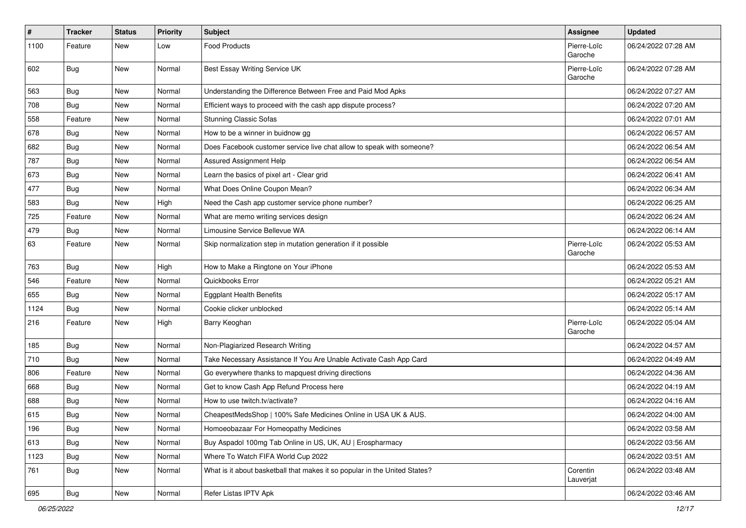| $\vert$ # | <b>Tracker</b> | <b>Status</b> | <b>Priority</b> | <b>Subject</b>                                                             | <b>Assignee</b>        | <b>Updated</b>      |
|-----------|----------------|---------------|-----------------|----------------------------------------------------------------------------|------------------------|---------------------|
| 1100      | Feature        | New           | Low             | <b>Food Products</b>                                                       | Pierre-Loïc<br>Garoche | 06/24/2022 07:28 AM |
| 602       | <b>Bug</b>     | New           | Normal          | Best Essay Writing Service UK                                              | Pierre-Loïc<br>Garoche | 06/24/2022 07:28 AM |
| 563       | Bug            | New           | Normal          | Understanding the Difference Between Free and Paid Mod Apks                |                        | 06/24/2022 07:27 AM |
| 708       | <b>Bug</b>     | New           | Normal          | Efficient ways to proceed with the cash app dispute process?               |                        | 06/24/2022 07:20 AM |
| 558       | Feature        | New           | Normal          | <b>Stunning Classic Sofas</b>                                              |                        | 06/24/2022 07:01 AM |
| 678       | Bug            | New           | Normal          | How to be a winner in buidnow gg                                           |                        | 06/24/2022 06:57 AM |
| 682       | Bug            | New           | Normal          | Does Facebook customer service live chat allow to speak with someone?      |                        | 06/24/2022 06:54 AM |
| 787       | Bug            | <b>New</b>    | Normal          | Assured Assignment Help                                                    |                        | 06/24/2022 06:54 AM |
| 673       | Bug            | New           | Normal          | Learn the basics of pixel art - Clear grid                                 |                        | 06/24/2022 06:41 AM |
| 477       | Bug            | New           | Normal          | What Does Online Coupon Mean?                                              |                        | 06/24/2022 06:34 AM |
| 583       | Bug            | New           | High            | Need the Cash app customer service phone number?                           |                        | 06/24/2022 06:25 AM |
| 725       | Feature        | New           | Normal          | What are memo writing services design                                      |                        | 06/24/2022 06:24 AM |
| 479       | <b>Bug</b>     | New           | Normal          | Limousine Service Bellevue WA                                              |                        | 06/24/2022 06:14 AM |
| 63        | Feature        | New           | Normal          | Skip normalization step in mutation generation if it possible              | Pierre-Loïc<br>Garoche | 06/24/2022 05:53 AM |
| 763       | Bug            | New           | High            | How to Make a Ringtone on Your iPhone                                      |                        | 06/24/2022 05:53 AM |
| 546       | Feature        | New           | Normal          | Quickbooks Error                                                           |                        | 06/24/2022 05:21 AM |
| 655       | Bug            | New           | Normal          | <b>Eggplant Health Benefits</b>                                            |                        | 06/24/2022 05:17 AM |
| 1124      | Bug            | New           | Normal          | Cookie clicker unblocked                                                   |                        | 06/24/2022 05:14 AM |
| 216       | Feature        | New           | High            | Barry Keoghan                                                              | Pierre-Loïc<br>Garoche | 06/24/2022 05:04 AM |
| 185       | Bug            | New           | Normal          | Non-Plagiarized Research Writing                                           |                        | 06/24/2022 04:57 AM |
| 710       | <b>Bug</b>     | New           | Normal          | Take Necessary Assistance If You Are Unable Activate Cash App Card         |                        | 06/24/2022 04:49 AM |
| 806       | Feature        | New           | Normal          | Go everywhere thanks to mapquest driving directions                        |                        | 06/24/2022 04:36 AM |
| 668       | Bug            | New           | Normal          | Get to know Cash App Refund Process here                                   |                        | 06/24/2022 04:19 AM |
| 688       | <b>Bug</b>     | New           | Normal          | How to use twitch.tv/activate?                                             |                        | 06/24/2022 04:16 AM |
| 615       | <b>Bug</b>     | New           | Normal          | CheapestMedsShop   100% Safe Medicines Online in USA UK & AUS.             |                        | 06/24/2022 04:00 AM |
| 196       | Bug            | New           | Normal          | Homoeobazaar For Homeopathy Medicines                                      |                        | 06/24/2022 03:58 AM |
| 613       | Bug            | New           | Normal          | Buy Aspadol 100mg Tab Online in US, UK, AU   Erospharmacy                  |                        | 06/24/2022 03:56 AM |
| 1123      | Bug            | New           | Normal          | Where To Watch FIFA World Cup 2022                                         |                        | 06/24/2022 03:51 AM |
| 761       | <b>Bug</b>     | New           | Normal          | What is it about basketball that makes it so popular in the United States? | Corentin<br>Lauverjat  | 06/24/2022 03:48 AM |
| 695       | Bug            | New           | Normal          | Refer Listas IPTV Apk                                                      |                        | 06/24/2022 03:46 AM |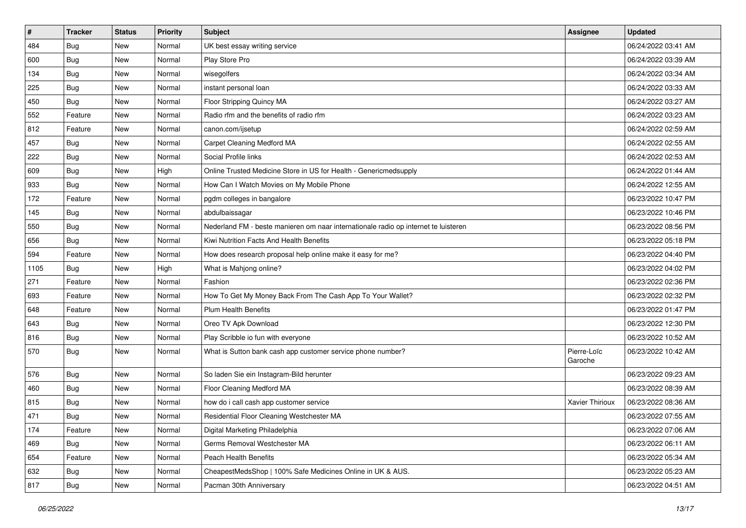| $\vert$ # | <b>Tracker</b> | <b>Status</b> | <b>Priority</b> | <b>Subject</b>                                                                      | <b>Assignee</b>        | <b>Updated</b>      |
|-----------|----------------|---------------|-----------------|-------------------------------------------------------------------------------------|------------------------|---------------------|
| 484       | <b>Bug</b>     | New           | Normal          | UK best essay writing service                                                       |                        | 06/24/2022 03:41 AM |
| 600       | <b>Bug</b>     | <b>New</b>    | Normal          | Play Store Pro                                                                      |                        | 06/24/2022 03:39 AM |
| 134       | Bug            | New           | Normal          | wisegolfers                                                                         |                        | 06/24/2022 03:34 AM |
| 225       | <b>Bug</b>     | New           | Normal          | instant personal loan                                                               |                        | 06/24/2022 03:33 AM |
| 450       | Bug            | New           | Normal          | Floor Stripping Quincy MA                                                           |                        | 06/24/2022 03:27 AM |
| 552       | Feature        | New           | Normal          | Radio rfm and the benefits of radio rfm                                             |                        | 06/24/2022 03:23 AM |
| 812       | Feature        | New           | Normal          | canon.com/ijsetup                                                                   |                        | 06/24/2022 02:59 AM |
| 457       | Bug            | New           | Normal          | Carpet Cleaning Medford MA                                                          |                        | 06/24/2022 02:55 AM |
| 222       | Bug            | New           | Normal          | Social Profile links                                                                |                        | 06/24/2022 02:53 AM |
| 609       | <b>Bug</b>     | New           | High            | Online Trusted Medicine Store in US for Health - Genericmedsupply                   |                        | 06/24/2022 01:44 AM |
| 933       | Bug            | New           | Normal          | How Can I Watch Movies on My Mobile Phone                                           |                        | 06/24/2022 12:55 AM |
| 172       | Feature        | New           | Normal          | pgdm colleges in bangalore                                                          |                        | 06/23/2022 10:47 PM |
| 145       | Bug            | New           | Normal          | abdulbaissagar                                                                      |                        | 06/23/2022 10:46 PM |
| 550       | <b>Bug</b>     | New           | Normal          | Nederland FM - beste manieren om naar internationale radio op internet te luisteren |                        | 06/23/2022 08:56 PM |
| 656       | Bug            | New           | Normal          | Kiwi Nutrition Facts And Health Benefits                                            |                        | 06/23/2022 05:18 PM |
| 594       | Feature        | New           | Normal          | How does research proposal help online make it easy for me?                         |                        | 06/23/2022 04:40 PM |
| 1105      | <b>Bug</b>     | New           | High            | What is Mahjong online?                                                             |                        | 06/23/2022 04:02 PM |
| 271       | Feature        | New           | Normal          | Fashion                                                                             |                        | 06/23/2022 02:36 PM |
| 693       | Feature        | New           | Normal          | How To Get My Money Back From The Cash App To Your Wallet?                          |                        | 06/23/2022 02:32 PM |
| 648       | Feature        | New           | Normal          | Plum Health Benefits                                                                |                        | 06/23/2022 01:47 PM |
| 643       | <b>Bug</b>     | New           | Normal          | Oreo TV Apk Download                                                                |                        | 06/23/2022 12:30 PM |
| 816       | <b>Bug</b>     | New           | Normal          | Play Scribble io fun with everyone                                                  |                        | 06/23/2022 10:52 AM |
| 570       | Bug            | New           | Normal          | What is Sutton bank cash app customer service phone number?                         | Pierre-Loïc<br>Garoche | 06/23/2022 10:42 AM |
| 576       | <b>Bug</b>     | New           | Normal          | So laden Sie ein Instagram-Bild herunter                                            |                        | 06/23/2022 09:23 AM |
| 460       | Bug            | New           | Normal          | Floor Cleaning Medford MA                                                           |                        | 06/23/2022 08:39 AM |
| 815       | <b>Bug</b>     | New           | Normal          | how do i call cash app customer service                                             | Xavier Thirioux        | 06/23/2022 08:36 AM |
| 471       | <b>Bug</b>     | New           | Normal          | Residential Floor Cleaning Westchester MA                                           |                        | 06/23/2022 07:55 AM |
| 174       | Feature        | New           | Normal          | Digital Marketing Philadelphia                                                      |                        | 06/23/2022 07:06 AM |
| 469       | <b>Bug</b>     | New           | Normal          | Germs Removal Westchester MA                                                        |                        | 06/23/2022 06:11 AM |
| 654       | Feature        | New           | Normal          | Peach Health Benefits                                                               |                        | 06/23/2022 05:34 AM |
| 632       | <b>Bug</b>     | New           | Normal          | CheapestMedsShop   100% Safe Medicines Online in UK & AUS.                          |                        | 06/23/2022 05:23 AM |
| 817       | Bug            | New           | Normal          | Pacman 30th Anniversary                                                             |                        | 06/23/2022 04:51 AM |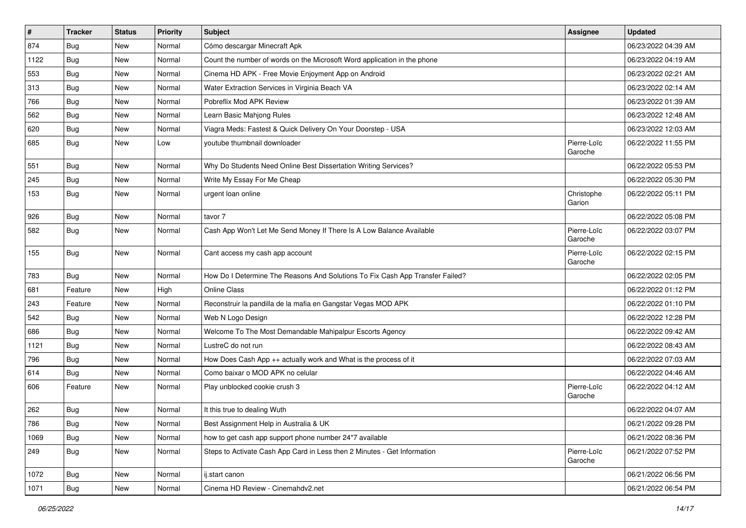| $\vert$ # | <b>Tracker</b> | <b>Status</b> | <b>Priority</b> | Subject                                                                       | <b>Assignee</b>        | <b>Updated</b>      |
|-----------|----------------|---------------|-----------------|-------------------------------------------------------------------------------|------------------------|---------------------|
| 874       | <b>Bug</b>     | New           | Normal          | Cómo descargar Minecraft Apk                                                  |                        | 06/23/2022 04:39 AM |
| 1122      | <b>Bug</b>     | New           | Normal          | Count the number of words on the Microsoft Word application in the phone      |                        | 06/23/2022 04:19 AM |
| 553       | Bug            | New           | Normal          | Cinema HD APK - Free Movie Enjoyment App on Android                           |                        | 06/23/2022 02:21 AM |
| 313       | <b>Bug</b>     | New           | Normal          | Water Extraction Services in Virginia Beach VA                                |                        | 06/23/2022 02:14 AM |
| 766       | <b>Bug</b>     | New           | Normal          | Pobreflix Mod APK Review                                                      |                        | 06/23/2022 01:39 AM |
| 562       | <b>Bug</b>     | New           | Normal          | Learn Basic Mahjong Rules                                                     |                        | 06/23/2022 12:48 AM |
| 620       | Bug            | New           | Normal          | Viagra Meds: Fastest & Quick Delivery On Your Doorstep - USA                  |                        | 06/23/2022 12:03 AM |
| 685       | <b>Bug</b>     | New           | Low             | youtube thumbnail downloader                                                  | Pierre-Loïc<br>Garoche | 06/22/2022 11:55 PM |
| 551       | Bug            | New           | Normal          | Why Do Students Need Online Best Dissertation Writing Services?               |                        | 06/22/2022 05:53 PM |
| 245       | Bug            | New           | Normal          | Write My Essay For Me Cheap                                                   |                        | 06/22/2022 05:30 PM |
| 153       | <b>Bug</b>     | New           | Normal          | urgent loan online                                                            | Christophe<br>Garion   | 06/22/2022 05:11 PM |
| 926       | <b>Bug</b>     | New           | Normal          | tavor 7                                                                       |                        | 06/22/2022 05:08 PM |
| 582       | Bug            | New           | Normal          | Cash App Won't Let Me Send Money If There Is A Low Balance Available          | Pierre-Loïc<br>Garoche | 06/22/2022 03:07 PM |
| 155       | Bug            | New           | Normal          | Cant access my cash app account                                               | Pierre-Loïc<br>Garoche | 06/22/2022 02:15 PM |
| 783       | Bug            | New           | Normal          | How Do I Determine The Reasons And Solutions To Fix Cash App Transfer Failed? |                        | 06/22/2022 02:05 PM |
| 681       | Feature        | New           | High            | <b>Online Class</b>                                                           |                        | 06/22/2022 01:12 PM |
| 243       | Feature        | New           | Normal          | Reconstruir la pandilla de la mafia en Gangstar Vegas MOD APK                 |                        | 06/22/2022 01:10 PM |
| 542       | <b>Bug</b>     | New           | Normal          | Web N Logo Design                                                             |                        | 06/22/2022 12:28 PM |
| 686       | Bug            | New           | Normal          | Welcome To The Most Demandable Mahipalpur Escorts Agency                      |                        | 06/22/2022 09:42 AM |
| 1121      | Bug            | New           | Normal          | LustreC do not run                                                            |                        | 06/22/2022 08:43 AM |
| 796       | Bug            | New           | Normal          | How Does Cash App ++ actually work and What is the process of it              |                        | 06/22/2022 07:03 AM |
| 614       | Bug            | New           | Normal          | Como baixar o MOD APK no celular                                              |                        | 06/22/2022 04:46 AM |
| 606       | Feature        | New           | Normal          | Play unblocked cookie crush 3                                                 | Pierre-Loïc<br>Garoche | 06/22/2022 04:12 AM |
| 262       | Bug            | New           | Normal          | It this true to dealing Wuth                                                  |                        | 06/22/2022 04:07 AM |
| 786       | Bug            | New           | Normal          | Best Assignment Help in Australia & UK                                        |                        | 06/21/2022 09:28 PM |
| 1069      | <b>Bug</b>     | New           | Normal          | how to get cash app support phone number 24*7 available                       |                        | 06/21/2022 08:36 PM |
| 249       | <b>Bug</b>     | New           | Normal          | Steps to Activate Cash App Card in Less then 2 Minutes - Get Information      | Pierre-Loïc<br>Garoche | 06/21/2022 07:52 PM |
| 1072      | <b>Bug</b>     | New           | Normal          | ij.start canon                                                                |                        | 06/21/2022 06:56 PM |
| 1071      | Bug            | New           | Normal          | Cinema HD Review - Cinemahdv2.net                                             |                        | 06/21/2022 06:54 PM |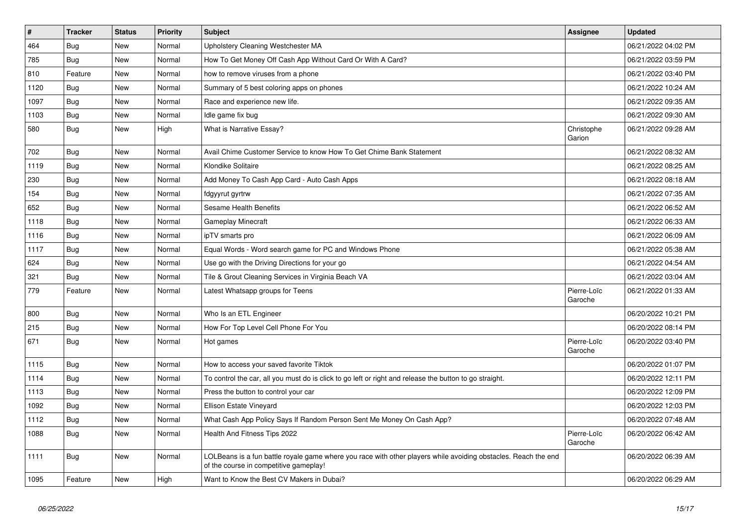| $\vert$ # | <b>Tracker</b> | <b>Status</b> | Priority | <b>Subject</b>                                                                                                                                           | <b>Assignee</b>        | <b>Updated</b>      |
|-----------|----------------|---------------|----------|----------------------------------------------------------------------------------------------------------------------------------------------------------|------------------------|---------------------|
| 464       | Bug            | <b>New</b>    | Normal   | Upholstery Cleaning Westchester MA                                                                                                                       |                        | 06/21/2022 04:02 PM |
| 785       | <b>Bug</b>     | <b>New</b>    | Normal   | How To Get Money Off Cash App Without Card Or With A Card?                                                                                               |                        | 06/21/2022 03:59 PM |
| 810       | Feature        | New           | Normal   | how to remove viruses from a phone                                                                                                                       |                        | 06/21/2022 03:40 PM |
| 1120      | <b>Bug</b>     | <b>New</b>    | Normal   | Summary of 5 best coloring apps on phones                                                                                                                |                        | 06/21/2022 10:24 AM |
| 1097      | Bug            | <b>New</b>    | Normal   | Race and experience new life.                                                                                                                            |                        | 06/21/2022 09:35 AM |
| 1103      | Bug            | <b>New</b>    | Normal   | Idle game fix bug                                                                                                                                        |                        | 06/21/2022 09:30 AM |
| 580       | <b>Bug</b>     | New           | High     | What is Narrative Essay?                                                                                                                                 | Christophe<br>Garion   | 06/21/2022 09:28 AM |
| 702       | <b>Bug</b>     | New           | Normal   | Avail Chime Customer Service to know How To Get Chime Bank Statement                                                                                     |                        | 06/21/2022 08:32 AM |
| 1119      | Bug            | New           | Normal   | Klondike Solitaire                                                                                                                                       |                        | 06/21/2022 08:25 AM |
| 230       | <b>Bug</b>     | New           | Normal   | Add Money To Cash App Card - Auto Cash Apps                                                                                                              |                        | 06/21/2022 08:18 AM |
| 154       | <b>Bug</b>     | New           | Normal   | fdgyyrut gyrtrw                                                                                                                                          |                        | 06/21/2022 07:35 AM |
| 652       | <b>Bug</b>     | New           | Normal   | Sesame Health Benefits                                                                                                                                   |                        | 06/21/2022 06:52 AM |
| 1118      | Bug            | New           | Normal   | <b>Gameplay Minecraft</b>                                                                                                                                |                        | 06/21/2022 06:33 AM |
| 1116      | <b>Bug</b>     | New           | Normal   | ipTV smarts pro                                                                                                                                          |                        | 06/21/2022 06:09 AM |
| 1117      | <b>Bug</b>     | New           | Normal   | Equal Words - Word search game for PC and Windows Phone                                                                                                  |                        | 06/21/2022 05:38 AM |
| 624       | <b>Bug</b>     | New           | Normal   | Use go with the Driving Directions for your go                                                                                                           |                        | 06/21/2022 04:54 AM |
| 321       | Bug            | New           | Normal   | Tile & Grout Cleaning Services in Virginia Beach VA                                                                                                      |                        | 06/21/2022 03:04 AM |
| 779       | Feature        | New           | Normal   | Latest Whatsapp groups for Teens                                                                                                                         | Pierre-Loïc<br>Garoche | 06/21/2022 01:33 AM |
| 800       | <b>Bug</b>     | <b>New</b>    | Normal   | Who Is an ETL Engineer                                                                                                                                   |                        | 06/20/2022 10:21 PM |
| 215       | Bug            | New           | Normal   | How For Top Level Cell Phone For You                                                                                                                     |                        | 06/20/2022 08:14 PM |
| 671       | Bug            | New           | Normal   | Hot games                                                                                                                                                | Pierre-Loïc<br>Garoche | 06/20/2022 03:40 PM |
| 1115      | Bug            | <b>New</b>    | Normal   | How to access your saved favorite Tiktok                                                                                                                 |                        | 06/20/2022 01:07 PM |
| 1114      | Bug            | New           | Normal   | To control the car, all you must do is click to go left or right and release the button to go straight.                                                  |                        | 06/20/2022 12:11 PM |
| 1113      | <b>Bug</b>     | New           | Normal   | Press the button to control your car                                                                                                                     |                        | 06/20/2022 12:09 PM |
| 1092      | <b>Bug</b>     | New           | Normal   | Ellison Estate Vineyard                                                                                                                                  |                        | 06/20/2022 12:03 PM |
| 1112      | <b>Bug</b>     | New           | Normal   | What Cash App Policy Says If Random Person Sent Me Money On Cash App?                                                                                    |                        | 06/20/2022 07:48 AM |
| 1088      | <b>Bug</b>     | New           | Normal   | Health And Fitness Tips 2022                                                                                                                             | Pierre-Loïc<br>Garoche | 06/20/2022 06:42 AM |
| 1111      | <b>Bug</b>     | <b>New</b>    | Normal   | LOLBeans is a fun battle royale game where you race with other players while avoiding obstacles. Reach the end<br>of the course in competitive gameplay! |                        | 06/20/2022 06:39 AM |
| 1095      | Feature        | <b>New</b>    | High     | Want to Know the Best CV Makers in Dubai?                                                                                                                |                        | 06/20/2022 06:29 AM |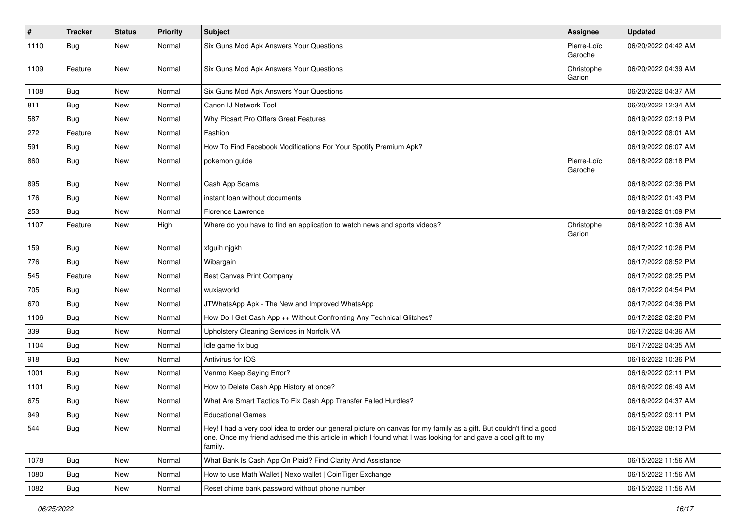| #    | <b>Tracker</b> | <b>Status</b> | <b>Priority</b> | <b>Subject</b>                                                                                                                                                                                                                                    | Assignee               | <b>Updated</b>      |
|------|----------------|---------------|-----------------|---------------------------------------------------------------------------------------------------------------------------------------------------------------------------------------------------------------------------------------------------|------------------------|---------------------|
| 1110 | <b>Bug</b>     | New           | Normal          | Six Guns Mod Apk Answers Your Questions                                                                                                                                                                                                           | Pierre-Loïc<br>Garoche | 06/20/2022 04:42 AM |
| 1109 | Feature        | <b>New</b>    | Normal          | Six Guns Mod Apk Answers Your Questions                                                                                                                                                                                                           | Christophe<br>Garion   | 06/20/2022 04:39 AM |
| 1108 | Bug            | <b>New</b>    | Normal          | Six Guns Mod Apk Answers Your Questions                                                                                                                                                                                                           |                        | 06/20/2022 04:37 AM |
| 811  | Bug            | New           | Normal          | Canon IJ Network Tool                                                                                                                                                                                                                             |                        | 06/20/2022 12:34 AM |
| 587  | Bug            | New           | Normal          | Why Picsart Pro Offers Great Features                                                                                                                                                                                                             |                        | 06/19/2022 02:19 PM |
| 272  | Feature        | New           | Normal          | Fashion                                                                                                                                                                                                                                           |                        | 06/19/2022 08:01 AM |
| 591  | <b>Bug</b>     | New           | Normal          | How To Find Facebook Modifications For Your Spotify Premium Apk?                                                                                                                                                                                  |                        | 06/19/2022 06:07 AM |
| 860  | <b>Bug</b>     | New           | Normal          | pokemon guide                                                                                                                                                                                                                                     | Pierre-Loïc<br>Garoche | 06/18/2022 08:18 PM |
| 895  | Bug            | New           | Normal          | Cash App Scams                                                                                                                                                                                                                                    |                        | 06/18/2022 02:36 PM |
| 176  | Bug            | New           | Normal          | instant loan without documents                                                                                                                                                                                                                    |                        | 06/18/2022 01:43 PM |
| 253  | Bug            | New           | Normal          | Florence Lawrence                                                                                                                                                                                                                                 |                        | 06/18/2022 01:09 PM |
| 1107 | Feature        | New           | High            | Where do you have to find an application to watch news and sports videos?                                                                                                                                                                         | Christophe<br>Garion   | 06/18/2022 10:36 AM |
| 159  | Bug            | New           | Normal          | xfguih njgkh                                                                                                                                                                                                                                      |                        | 06/17/2022 10:26 PM |
| 776  | Bug            | New           | Normal          | Wibargain                                                                                                                                                                                                                                         |                        | 06/17/2022 08:52 PM |
| 545  | Feature        | New           | Normal          | Best Canvas Print Company                                                                                                                                                                                                                         |                        | 06/17/2022 08:25 PM |
| 705  | Bug            | New           | Normal          | wuxiaworld                                                                                                                                                                                                                                        |                        | 06/17/2022 04:54 PM |
| 670  | <b>Bug</b>     | New           | Normal          | JTWhatsApp Apk - The New and Improved WhatsApp                                                                                                                                                                                                    |                        | 06/17/2022 04:36 PM |
| 1106 | <b>Bug</b>     | New           | Normal          | How Do I Get Cash App ++ Without Confronting Any Technical Glitches?                                                                                                                                                                              |                        | 06/17/2022 02:20 PM |
| 339  | <b>Bug</b>     | New           | Normal          | Upholstery Cleaning Services in Norfolk VA                                                                                                                                                                                                        |                        | 06/17/2022 04:36 AM |
| 1104 | Bug            | New           | Normal          | Idle game fix bug                                                                                                                                                                                                                                 |                        | 06/17/2022 04:35 AM |
| 918  | <b>Bug</b>     | New           | Normal          | Antivirus for IOS                                                                                                                                                                                                                                 |                        | 06/16/2022 10:36 PM |
| 1001 | Bug            | New           | Normal          | Venmo Keep Saying Error?                                                                                                                                                                                                                          |                        | 06/16/2022 02:11 PM |
| 1101 | Bug            | New           | Normal          | How to Delete Cash App History at once?                                                                                                                                                                                                           |                        | 06/16/2022 06:49 AM |
| 675  | <b>Bug</b>     | New           | Normal          | What Are Smart Tactics To Fix Cash App Transfer Failed Hurdles?                                                                                                                                                                                   |                        | 06/16/2022 04:37 AM |
| 949  | <b>Bug</b>     | New           | Normal          | <b>Educational Games</b>                                                                                                                                                                                                                          |                        | 06/15/2022 09:11 PM |
| 544  | <b>Bug</b>     | New           | Normal          | Hey! I had a very cool idea to order our general picture on canvas for my family as a gift. But couldn't find a good<br>one. Once my friend advised me this article in which I found what I was looking for and gave a cool gift to my<br>family. |                        | 06/15/2022 08:13 PM |
| 1078 | Bug            | New           | Normal          | What Bank Is Cash App On Plaid? Find Clarity And Assistance                                                                                                                                                                                       |                        | 06/15/2022 11:56 AM |
| 1080 | <b>Bug</b>     | New           | Normal          | How to use Math Wallet   Nexo wallet   CoinTiger Exchange                                                                                                                                                                                         |                        | 06/15/2022 11:56 AM |
| 1082 | <b>Bug</b>     | New           | Normal          | Reset chime bank password without phone number                                                                                                                                                                                                    |                        | 06/15/2022 11:56 AM |